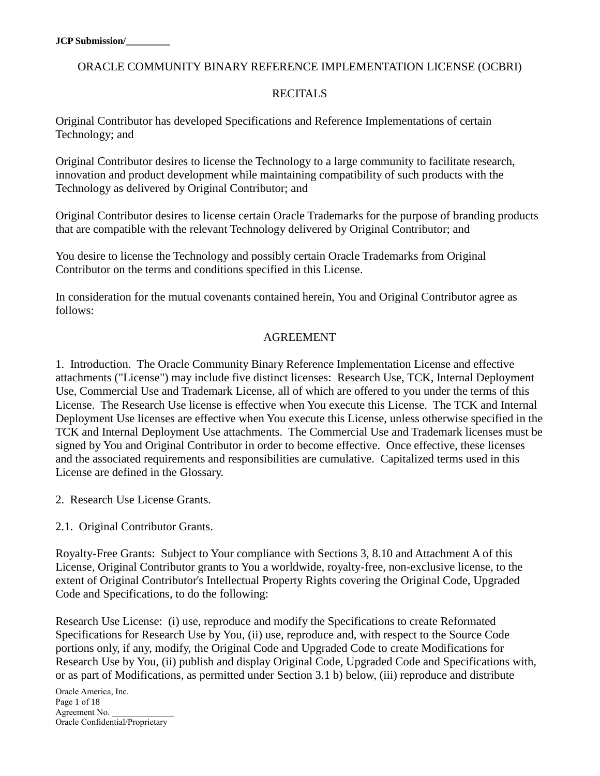### ORACLE COMMUNITY BINARY REFERENCE IMPLEMENTATION LICENSE (OCBRI)

### RECITAL<sub>S</sub>

Original Contributor has developed Specifications and Reference Implementations of certain Technology; and

Original Contributor desires to license the Technology to a large community to facilitate research, innovation and product development while maintaining compatibility of such products with the Technology as delivered by Original Contributor; and

Original Contributor desires to license certain Oracle Trademarks for the purpose of branding products that are compatible with the relevant Technology delivered by Original Contributor; and

You desire to license the Technology and possibly certain Oracle Trademarks from Original Contributor on the terms and conditions specified in this License.

In consideration for the mutual covenants contained herein, You and Original Contributor agree as follows:

#### AGREEMENT

1. Introduction. The Oracle Community Binary Reference Implementation License and effective attachments ("License") may include five distinct licenses: Research Use, TCK, Internal Deployment Use, Commercial Use and Trademark License, all of which are offered to you under the terms of this License. The Research Use license is effective when You execute this License. The TCK and Internal Deployment Use licenses are effective when You execute this License, unless otherwise specified in the TCK and Internal Deployment Use attachments. The Commercial Use and Trademark licenses must be signed by You and Original Contributor in order to become effective. Once effective, these licenses and the associated requirements and responsibilities are cumulative. Capitalized terms used in this License are defined in the Glossary.

2. Research Use License Grants.

2.1. Original Contributor Grants.

Royalty-Free Grants: Subject to Your compliance with Sections 3, 8.10 and Attachment A of this License, Original Contributor grants to You a worldwide, royalty-free, non-exclusive license, to the extent of Original Contributor's Intellectual Property Rights covering the Original Code, Upgraded Code and Specifications, to do the following:

Research Use License: (i) use, reproduce and modify the Specifications to create Reformated Specifications for Research Use by You, (ii) use, reproduce and, with respect to the Source Code portions only, if any, modify, the Original Code and Upgraded Code to create Modifications for Research Use by You, (ii) publish and display Original Code, Upgraded Code and Specifications with, or as part of Modifications, as permitted under Section 3.1 b) below, (iii) reproduce and distribute

Oracle America, Inc. Page 1 of 18 Agreement No. Oracle Confidential/Proprietary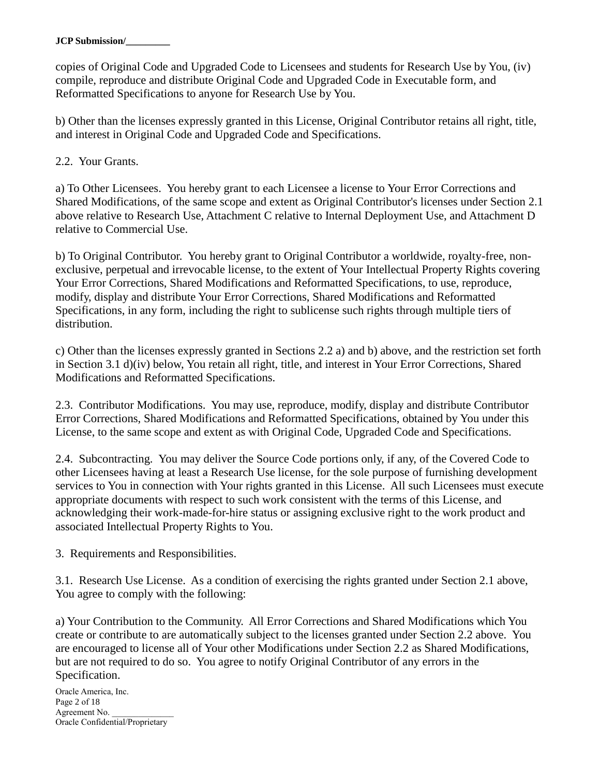copies of Original Code and Upgraded Code to Licensees and students for Research Use by You, (iv) compile, reproduce and distribute Original Code and Upgraded Code in Executable form, and Reformatted Specifications to anyone for Research Use by You.

b) Other than the licenses expressly granted in this License, Original Contributor retains all right, title, and interest in Original Code and Upgraded Code and Specifications.

2.2. Your Grants.

a) To Other Licensees. You hereby grant to each Licensee a license to Your Error Corrections and Shared Modifications, of the same scope and extent as Original Contributor's licenses under Section 2.1 above relative to Research Use, Attachment C relative to Internal Deployment Use, and Attachment D relative to Commercial Use.

b) To Original Contributor. You hereby grant to Original Contributor a worldwide, royalty-free, nonexclusive, perpetual and irrevocable license, to the extent of Your Intellectual Property Rights covering Your Error Corrections, Shared Modifications and Reformatted Specifications, to use, reproduce, modify, display and distribute Your Error Corrections, Shared Modifications and Reformatted Specifications, in any form, including the right to sublicense such rights through multiple tiers of distribution.

c) Other than the licenses expressly granted in Sections 2.2 a) and b) above, and the restriction set forth in Section 3.1 d)(iv) below, You retain all right, title, and interest in Your Error Corrections, Shared Modifications and Reformatted Specifications.

2.3. Contributor Modifications. You may use, reproduce, modify, display and distribute Contributor Error Corrections, Shared Modifications and Reformatted Specifications, obtained by You under this License, to the same scope and extent as with Original Code, Upgraded Code and Specifications.

2.4. Subcontracting. You may deliver the Source Code portions only, if any, of the Covered Code to other Licensees having at least a Research Use license, for the sole purpose of furnishing development services to You in connection with Your rights granted in this License. All such Licensees must execute appropriate documents with respect to such work consistent with the terms of this License, and acknowledging their work-made-for-hire status or assigning exclusive right to the work product and associated Intellectual Property Rights to You.

3. Requirements and Responsibilities.

3.1. Research Use License. As a condition of exercising the rights granted under Section 2.1 above, You agree to comply with the following:

a) Your Contribution to the Community. All Error Corrections and Shared Modifications which You create or contribute to are automatically subject to the licenses granted under Section 2.2 above. You are encouraged to license all of Your other Modifications under Section 2.2 as Shared Modifications, but are not required to do so. You agree to notify Original Contributor of any errors in the Specification.

Oracle America, Inc. Page 2 of 18 Agreement No. Oracle Confidential/Proprietary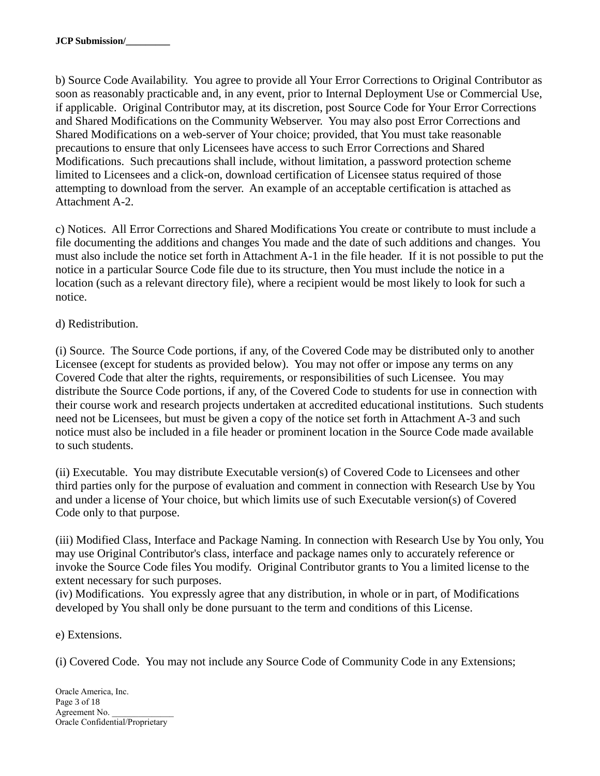b) Source Code Availability. You agree to provide all Your Error Corrections to Original Contributor as soon as reasonably practicable and, in any event, prior to Internal Deployment Use or Commercial Use, if applicable. Original Contributor may, at its discretion, post Source Code for Your Error Corrections and Shared Modifications on the Community Webserver. You may also post Error Corrections and Shared Modifications on a web-server of Your choice; provided, that You must take reasonable precautions to ensure that only Licensees have access to such Error Corrections and Shared Modifications. Such precautions shall include, without limitation, a password protection scheme limited to Licensees and a click-on, download certification of Licensee status required of those attempting to download from the server. An example of an acceptable certification is attached as Attachment A-2.

c) Notices. All Error Corrections and Shared Modifications You create or contribute to must include a file documenting the additions and changes You made and the date of such additions and changes. You must also include the notice set forth in Attachment A-1 in the file header. If it is not possible to put the notice in a particular Source Code file due to its structure, then You must include the notice in a location (such as a relevant directory file), where a recipient would be most likely to look for such a notice.

## d) Redistribution.

(i) Source. The Source Code portions, if any, of the Covered Code may be distributed only to another Licensee (except for students as provided below). You may not offer or impose any terms on any Covered Code that alter the rights, requirements, or responsibilities of such Licensee. You may distribute the Source Code portions, if any, of the Covered Code to students for use in connection with their course work and research projects undertaken at accredited educational institutions. Such students need not be Licensees, but must be given a copy of the notice set forth in Attachment A-3 and such notice must also be included in a file header or prominent location in the Source Code made available to such students.

(ii) Executable. You may distribute Executable version(s) of Covered Code to Licensees and other third parties only for the purpose of evaluation and comment in connection with Research Use by You and under a license of Your choice, but which limits use of such Executable version(s) of Covered Code only to that purpose.

(iii) Modified Class, Interface and Package Naming. In connection with Research Use by You only, You may use Original Contributor's class, interface and package names only to accurately reference or invoke the Source Code files You modify. Original Contributor grants to You a limited license to the extent necessary for such purposes.

(iv) Modifications. You expressly agree that any distribution, in whole or in part, of Modifications developed by You shall only be done pursuant to the term and conditions of this License.

e) Extensions.

(i) Covered Code. You may not include any Source Code of Community Code in any Extensions;

Oracle America, Inc. Page 3 of 18 Agreement No. Oracle Confidential/Proprietary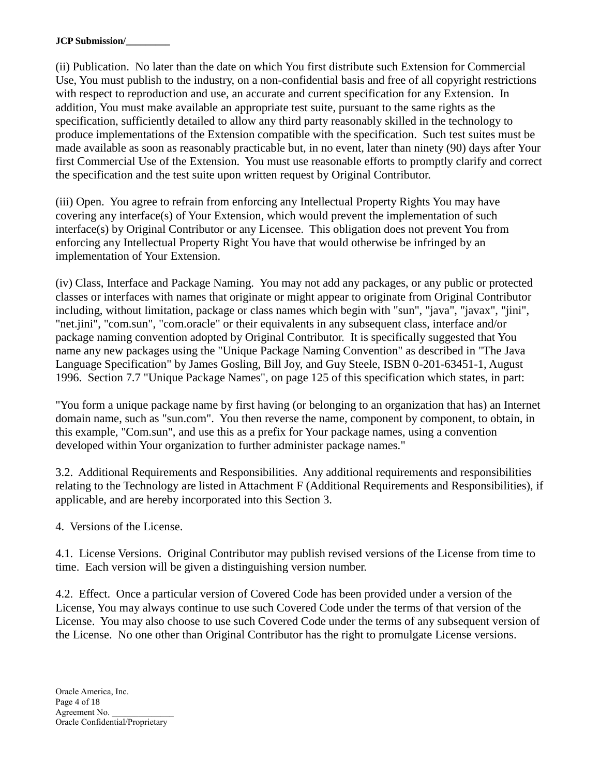(ii) Publication. No later than the date on which You first distribute such Extension for Commercial Use, You must publish to the industry, on a non-confidential basis and free of all copyright restrictions with respect to reproduction and use, an accurate and current specification for any Extension. In addition, You must make available an appropriate test suite, pursuant to the same rights as the specification, sufficiently detailed to allow any third party reasonably skilled in the technology to produce implementations of the Extension compatible with the specification. Such test suites must be made available as soon as reasonably practicable but, in no event, later than ninety (90) days after Your first Commercial Use of the Extension. You must use reasonable efforts to promptly clarify and correct the specification and the test suite upon written request by Original Contributor.

(iii) Open. You agree to refrain from enforcing any Intellectual Property Rights You may have covering any interface(s) of Your Extension, which would prevent the implementation of such interface(s) by Original Contributor or any Licensee. This obligation does not prevent You from enforcing any Intellectual Property Right You have that would otherwise be infringed by an implementation of Your Extension.

(iv) Class, Interface and Package Naming. You may not add any packages, or any public or protected classes or interfaces with names that originate or might appear to originate from Original Contributor including, without limitation, package or class names which begin with "sun", "java", "javax", "jini", "net.jini", "com.sun", "com.oracle" or their equivalents in any subsequent class, interface and/or package naming convention adopted by Original Contributor. It is specifically suggested that You name any new packages using the "Unique Package Naming Convention" as described in "The Java Language Specification" by James Gosling, Bill Joy, and Guy Steele, ISBN 0-201-63451-1, August 1996. Section 7.7 "Unique Package Names", on page 125 of this specification which states, in part:

"You form a unique package name by first having (or belonging to an organization that has) an Internet domain name, such as "sun.com". You then reverse the name, component by component, to obtain, in this example, "Com.sun", and use this as a prefix for Your package names, using a convention developed within Your organization to further administer package names."

3.2. Additional Requirements and Responsibilities. Any additional requirements and responsibilities relating to the Technology are listed in Attachment F (Additional Requirements and Responsibilities), if applicable, and are hereby incorporated into this Section 3.

4. Versions of the License.

4.1. License Versions. Original Contributor may publish revised versions of the License from time to time. Each version will be given a distinguishing version number.

4.2. Effect. Once a particular version of Covered Code has been provided under a version of the License, You may always continue to use such Covered Code under the terms of that version of the License. You may also choose to use such Covered Code under the terms of any subsequent version of the License. No one other than Original Contributor has the right to promulgate License versions.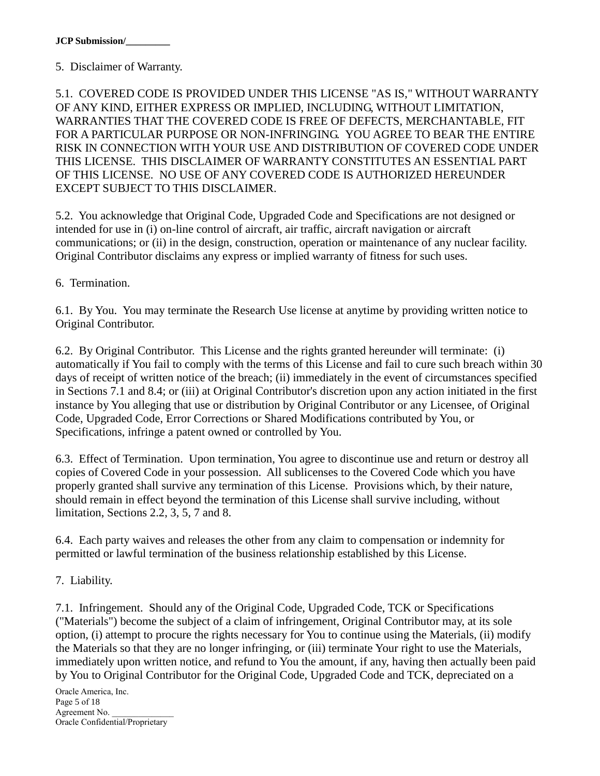## 5. Disclaimer of Warranty.

5.1. COVERED CODE IS PROVIDED UNDER THIS LICENSE "AS IS," WITHOUT WARRANTY OF ANY KIND, EITHER EXPRESS OR IMPLIED, INCLUDING, WITHOUT LIMITATION, WARRANTIES THAT THE COVERED CODE IS FREE OF DEFECTS, MERCHANTABLE, FIT FOR A PARTICULAR PURPOSE OR NON-INFRINGING. YOU AGREE TO BEAR THE ENTIRE RISK IN CONNECTION WITH YOUR USE AND DISTRIBUTION OF COVERED CODE UNDER THIS LICENSE. THIS DISCLAIMER OF WARRANTY CONSTITUTES AN ESSENTIAL PART OF THIS LICENSE. NO USE OF ANY COVERED CODE IS AUTHORIZED HEREUNDER EXCEPT SUBJECT TO THIS DISCLAIMER.

5.2. You acknowledge that Original Code, Upgraded Code and Specifications are not designed or intended for use in (i) on-line control of aircraft, air traffic, aircraft navigation or aircraft communications; or (ii) in the design, construction, operation or maintenance of any nuclear facility. Original Contributor disclaims any express or implied warranty of fitness for such uses.

6. Termination.

6.1. By You. You may terminate the Research Use license at anytime by providing written notice to Original Contributor.

6.2. By Original Contributor. This License and the rights granted hereunder will terminate: (i) automatically if You fail to comply with the terms of this License and fail to cure such breach within 30 days of receipt of written notice of the breach; (ii) immediately in the event of circumstances specified in Sections 7.1 and 8.4; or (iii) at Original Contributor's discretion upon any action initiated in the first instance by You alleging that use or distribution by Original Contributor or any Licensee, of Original Code, Upgraded Code, Error Corrections or Shared Modifications contributed by You, or Specifications, infringe a patent owned or controlled by You.

6.3. Effect of Termination. Upon termination, You agree to discontinue use and return or destroy all copies of Covered Code in your possession. All sublicenses to the Covered Code which you have properly granted shall survive any termination of this License. Provisions which, by their nature, should remain in effect beyond the termination of this License shall survive including, without limitation, Sections 2.2, 3, 5, 7 and 8.

6.4. Each party waives and releases the other from any claim to compensation or indemnity for permitted or lawful termination of the business relationship established by this License.

7. Liability.

7.1. Infringement. Should any of the Original Code, Upgraded Code, TCK or Specifications ("Materials") become the subject of a claim of infringement, Original Contributor may, at its sole option, (i) attempt to procure the rights necessary for You to continue using the Materials, (ii) modify the Materials so that they are no longer infringing, or (iii) terminate Your right to use the Materials, immediately upon written notice, and refund to You the amount, if any, having then actually been paid by You to Original Contributor for the Original Code, Upgraded Code and TCK, depreciated on a

Oracle America, Inc. Page 5 of 18 Agreement No. Oracle Confidential/Proprietary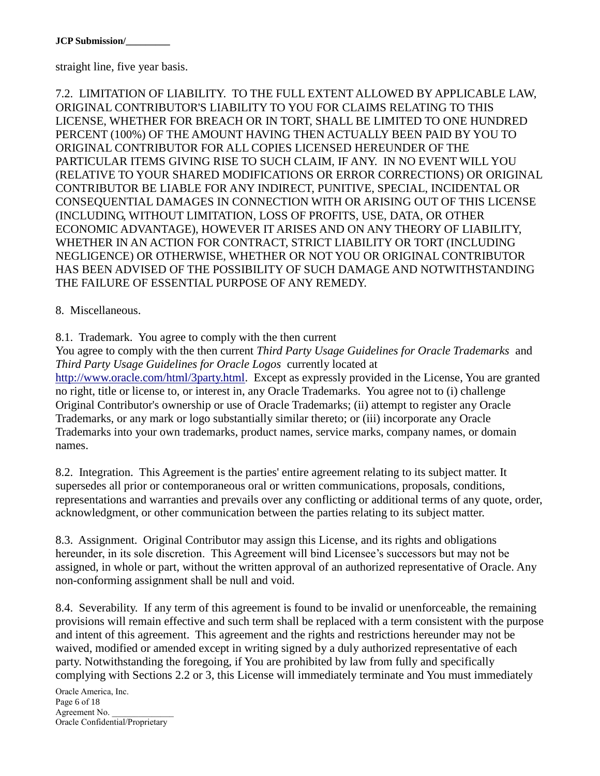straight line, five year basis.

7.2. LIMITATION OF LIABILITY. TO THE FULL EXTENT ALLOWED BY APPLICABLE LAW, ORIGINAL CONTRIBUTOR'S LIABILITY TO YOU FOR CLAIMS RELATING TO THIS LICENSE, WHETHER FOR BREACH OR IN TORT, SHALL BE LIMITED TO ONE HUNDRED PERCENT (100%) OF THE AMOUNT HAVING THEN ACTUALLY BEEN PAID BY YOU TO ORIGINAL CONTRIBUTOR FOR ALL COPIES LICENSED HEREUNDER OF THE PARTICULAR ITEMS GIVING RISE TO SUCH CLAIM, IF ANY. IN NO EVENT WILL YOU (RELATIVE TO YOUR SHARED MODIFICATIONS OR ERROR CORRECTIONS) OR ORIGINAL CONTRIBUTOR BE LIABLE FOR ANY INDIRECT, PUNITIVE, SPECIAL, INCIDENTAL OR CONSEQUENTIAL DAMAGES IN CONNECTION WITH OR ARISING OUT OF THIS LICENSE (INCLUDING, WITHOUT LIMITATION, LOSS OF PROFITS, USE, DATA, OR OTHER ECONOMIC ADVANTAGE), HOWEVER IT ARISES AND ON ANY THEORY OF LIABILITY, WHETHER IN AN ACTION FOR CONTRACT, STRICT LIABILITY OR TORT (INCLUDING NEGLIGENCE) OR OTHERWISE, WHETHER OR NOT YOU OR ORIGINAL CONTRIBUTOR HAS BEEN ADVISED OF THE POSSIBILITY OF SUCH DAMAGE AND NOTWITHSTANDING THE FAILURE OF ESSENTIAL PURPOSE OF ANY REMEDY.

8. Miscellaneous.

8.1. Trademark. You agree to comply with the then current

You agree to comply with the then current *Third Party Usage Guidelines for Oracle Trademarks* and *Third Party Usage Guidelines for Oracle Logos* currently located at

[http://www.oracle.com/html/3party.html.](http://www.oracle.com/html/3party.html) Except as expressly provided in the License, You are granted no right, title or license to, or interest in, any Oracle Trademarks. You agree not to (i) challenge Original Contributor's ownership or use of Oracle Trademarks; (ii) attempt to register any Oracle Trademarks, or any mark or logo substantially similar thereto; or (iii) incorporate any Oracle Trademarks into your own trademarks, product names, service marks, company names, or domain names.

8.2. Integration. This Agreement is the parties' entire agreement relating to its subject matter. It supersedes all prior or contemporaneous oral or written communications, proposals, conditions, representations and warranties and prevails over any conflicting or additional terms of any quote, order, acknowledgment, or other communication between the parties relating to its subject matter.

8.3. Assignment. Original Contributor may assign this License, and its rights and obligations hereunder, in its sole discretion. This Agreement will bind Licensee's successors but may not be assigned, in whole or part, without the written approval of an authorized representative of Oracle. Any non-conforming assignment shall be null and void.

8.4. Severability. If any term of this agreement is found to be invalid or unenforceable, the remaining provisions will remain effective and such term shall be replaced with a term consistent with the purpose and intent of this agreement. This agreement and the rights and restrictions hereunder may not be waived, modified or amended except in writing signed by a duly authorized representative of each party. Notwithstanding the foregoing, if You are prohibited by law from fully and specifically complying with Sections 2.2 or 3, this License will immediately terminate and You must immediately

Oracle America, Inc. Page 6 of 18 Agreement No. Oracle Confidential/Proprietary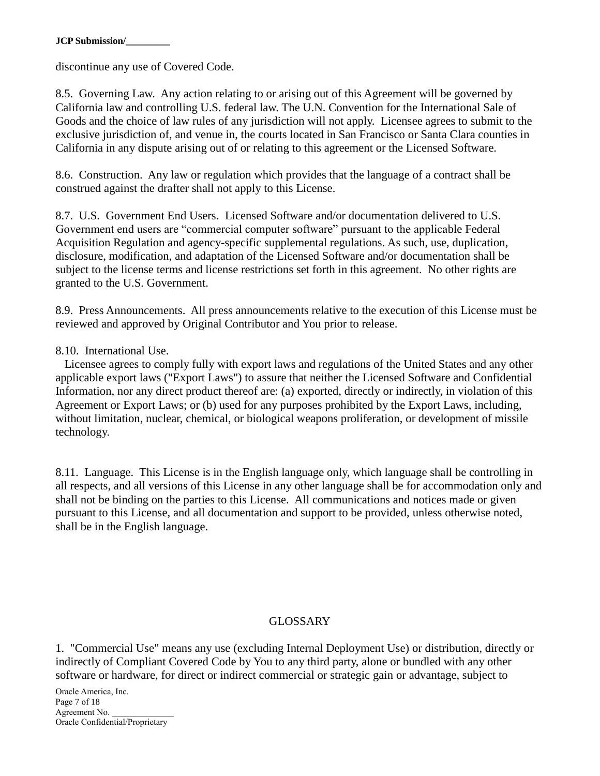discontinue any use of Covered Code.

8.5. Governing Law. Any action relating to or arising out of this Agreement will be governed by California law and controlling U.S. federal law. The U.N. Convention for the International Sale of Goods and the choice of law rules of any jurisdiction will not apply. Licensee agrees to submit to the exclusive jurisdiction of, and venue in, the courts located in San Francisco or Santa Clara counties in California in any dispute arising out of or relating to this agreement or the Licensed Software.

8.6. Construction. Any law or regulation which provides that the language of a contract shall be construed against the drafter shall not apply to this License.

8.7. U.S. Government End Users. Licensed Software and/or documentation delivered to U.S. Government end users are "commercial computer software" pursuant to the applicable Federal Acquisition Regulation and agency-specific supplemental regulations. As such, use, duplication, disclosure, modification, and adaptation of the Licensed Software and/or documentation shall be subject to the license terms and license restrictions set forth in this agreement. No other rights are granted to the U.S. Government.

8.9. Press Announcements. All press announcements relative to the execution of this License must be reviewed and approved by Original Contributor and You prior to release.

#### 8.10. International Use.

 Licensee agrees to comply fully with export laws and regulations of the United States and any other applicable export laws ("Export Laws") to assure that neither the Licensed Software and Confidential Information, nor any direct product thereof are: (a) exported, directly or indirectly, in violation of this Agreement or Export Laws; or (b) used for any purposes prohibited by the Export Laws, including, without limitation, nuclear, chemical, or biological weapons proliferation, or development of missile technology.

8.11. Language. This License is in the English language only, which language shall be controlling in all respects, and all versions of this License in any other language shall be for accommodation only and shall not be binding on the parties to this License. All communications and notices made or given pursuant to this License, and all documentation and support to be provided, unless otherwise noted, shall be in the English language.

#### GLOSSARY

1. "Commercial Use" means any use (excluding Internal Deployment Use) or distribution, directly or indirectly of Compliant Covered Code by You to any third party, alone or bundled with any other software or hardware, for direct or indirect commercial or strategic gain or advantage, subject to

Oracle America, Inc. Page 7 of 18 Agreement No. Oracle Confidential/Proprietary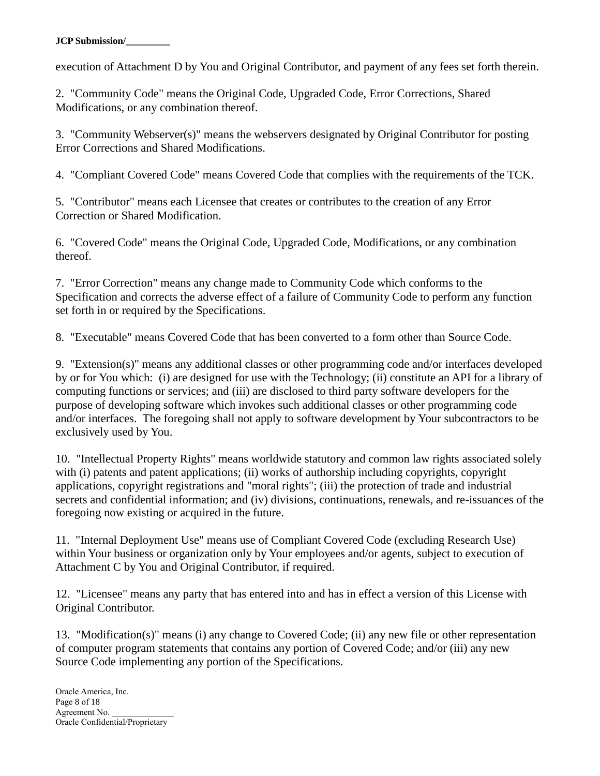execution of Attachment D by You and Original Contributor, and payment of any fees set forth therein.

2. "Community Code" means the Original Code, Upgraded Code, Error Corrections, Shared Modifications, or any combination thereof.

3. "Community Webserver(s)" means the webservers designated by Original Contributor for posting Error Corrections and Shared Modifications.

4. "Compliant Covered Code" means Covered Code that complies with the requirements of the TCK.

5. "Contributor" means each Licensee that creates or contributes to the creation of any Error Correction or Shared Modification.

6. "Covered Code" means the Original Code, Upgraded Code, Modifications, or any combination thereof.

7. "Error Correction" means any change made to Community Code which conforms to the Specification and corrects the adverse effect of a failure of Community Code to perform any function set forth in or required by the Specifications.

8. "Executable" means Covered Code that has been converted to a form other than Source Code.

9. "Extension(s)" means any additional classes or other programming code and/or interfaces developed by or for You which: (i) are designed for use with the Technology; (ii) constitute an API for a library of computing functions or services; and (iii) are disclosed to third party software developers for the purpose of developing software which invokes such additional classes or other programming code and/or interfaces. The foregoing shall not apply to software development by Your subcontractors to be exclusively used by You.

10. "Intellectual Property Rights" means worldwide statutory and common law rights associated solely with (i) patents and patent applications; (ii) works of authorship including copyrights, copyright applications, copyright registrations and "moral rights"; (iii) the protection of trade and industrial secrets and confidential information; and (iv) divisions, continuations, renewals, and re-issuances of the foregoing now existing or acquired in the future.

11. "Internal Deployment Use" means use of Compliant Covered Code (excluding Research Use) within Your business or organization only by Your employees and/or agents, subject to execution of Attachment C by You and Original Contributor, if required.

12. "Licensee" means any party that has entered into and has in effect a version of this License with Original Contributor.

13. "Modification(s)" means (i) any change to Covered Code; (ii) any new file or other representation of computer program statements that contains any portion of Covered Code; and/or (iii) any new Source Code implementing any portion of the Specifications.

Oracle America, Inc. Page 8 of 18 Agreement No. Oracle Confidential/Proprietary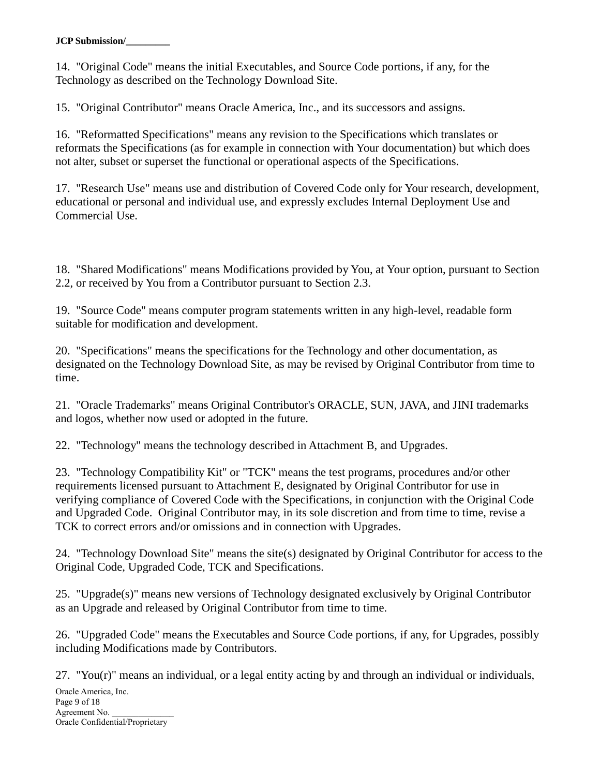14. "Original Code" means the initial Executables, and Source Code portions, if any, for the Technology as described on the Technology Download Site.

15. "Original Contributor" means Oracle America, Inc., and its successors and assigns.

16. "Reformatted Specifications" means any revision to the Specifications which translates or reformats the Specifications (as for example in connection with Your documentation) but which does not alter, subset or superset the functional or operational aspects of the Specifications.

17. "Research Use" means use and distribution of Covered Code only for Your research, development, educational or personal and individual use, and expressly excludes Internal Deployment Use and Commercial Use.

18. "Shared Modifications" means Modifications provided by You, at Your option, pursuant to Section 2.2, or received by You from a Contributor pursuant to Section 2.3.

19. "Source Code" means computer program statements written in any high-level, readable form suitable for modification and development.

20. "Specifications" means the specifications for the Technology and other documentation, as designated on the Technology Download Site, as may be revised by Original Contributor from time to time.

21. "Oracle Trademarks" means Original Contributor's ORACLE, SUN, JAVA, and JINI trademarks and logos, whether now used or adopted in the future.

22. "Technology" means the technology described in Attachment B, and Upgrades.

23. "Technology Compatibility Kit" or "TCK" means the test programs, procedures and/or other requirements licensed pursuant to Attachment E, designated by Original Contributor for use in verifying compliance of Covered Code with the Specifications, in conjunction with the Original Code and Upgraded Code. Original Contributor may, in its sole discretion and from time to time, revise a TCK to correct errors and/or omissions and in connection with Upgrades.

24. "Technology Download Site" means the site(s) designated by Original Contributor for access to the Original Code, Upgraded Code, TCK and Specifications.

25. "Upgrade(s)" means new versions of Technology designated exclusively by Original Contributor as an Upgrade and released by Original Contributor from time to time.

26. "Upgraded Code" means the Executables and Source Code portions, if any, for Upgrades, possibly including Modifications made by Contributors.

27. "You(r)" means an individual, or a legal entity acting by and through an individual or individuals,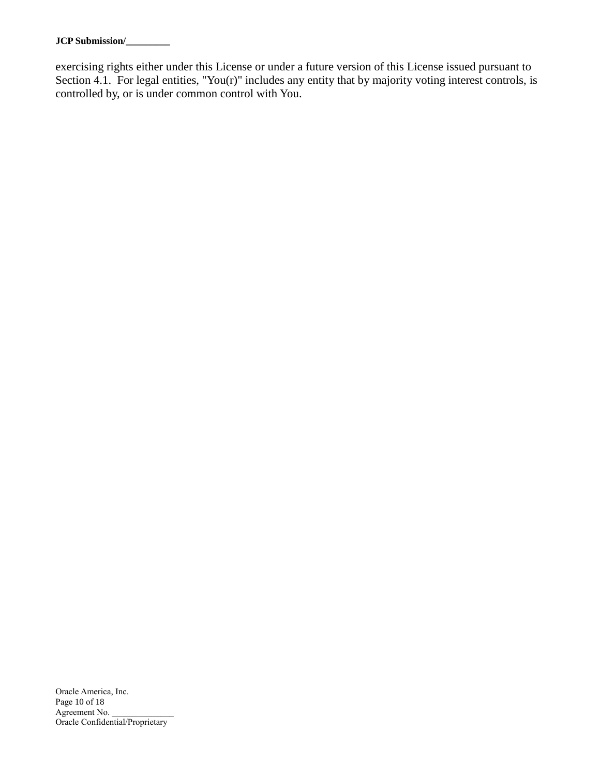exercising rights either under this License or under a future version of this License issued pursuant to Section 4.1. For legal entities, "You(r)" includes any entity that by majority voting interest controls, is controlled by, or is under common control with You.

Oracle America, Inc. Page 10 of 18 Agreement No. \_ Oracle Confidential/Proprietary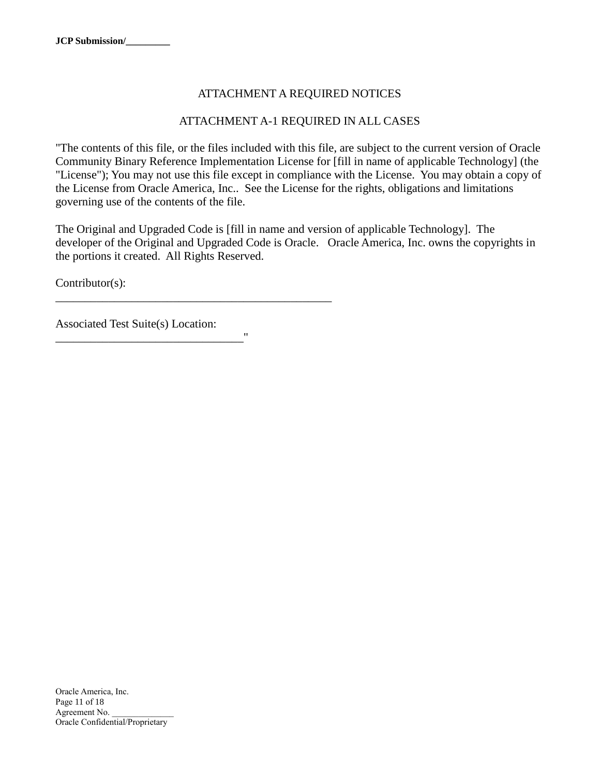## ATTACHMENT A REQUIRED NOTICES

## ATTACHMENT A-1 REQUIRED IN ALL CASES

"The contents of this file, or the files included with this file, are subject to the current version of Oracle Community Binary Reference Implementation License for [fill in name of applicable Technology] (the "License"); You may not use this file except in compliance with the License. You may obtain a copy of the License from Oracle America, Inc.. See the License for the rights, obligations and limitations governing use of the contents of the file.

The Original and Upgraded Code is [fill in name and version of applicable Technology]. The developer of the Original and Upgraded Code is Oracle. Oracle America, Inc. owns the copyrights in the portions it created. All Rights Reserved.

Contributor(s):

Associated Test Suite(s) Location:

\_\_\_\_\_\_\_\_\_\_\_\_\_\_\_\_\_\_\_\_\_\_\_\_\_\_\_\_\_\_\_\_"

\_\_\_\_\_\_\_\_\_\_\_\_\_\_\_\_\_\_\_\_\_\_\_\_\_\_\_\_\_\_\_\_\_\_\_\_\_\_\_\_\_\_\_\_\_\_\_

Oracle America, Inc. Page 11 of 18 Agreement No. Oracle Confidential/Proprietary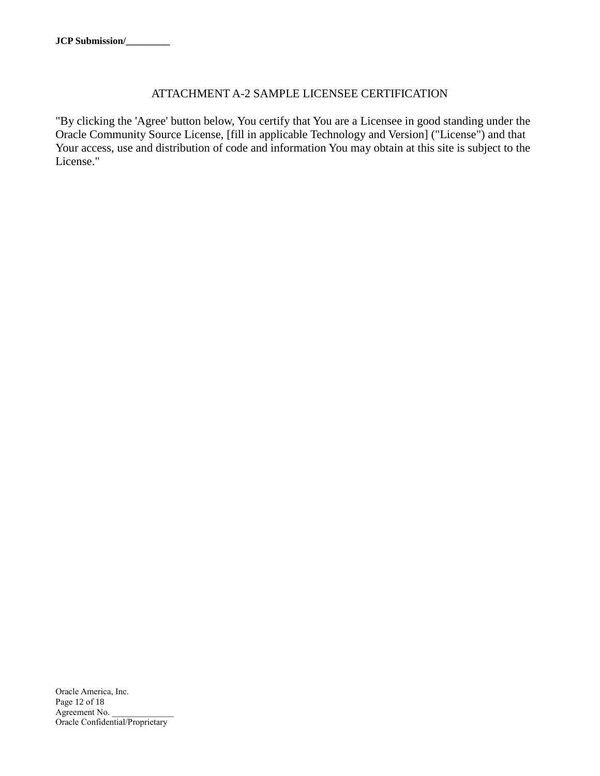## ATTACHMENT A-2 SAMPLE LICENSEE CERTIFICATION

"By clicking the 'Agree' button below, You certify that You are a Licensee in good standing under the Oracle Community Source License, [fill in applicable Technology and Version] ("License") and that Your access, use and distribution of code and information You may obtain at this site is subject to the License."

Oracle America, Inc. Page 12 of 18 Agreement No. \_\_\_\_\_\_\_\_\_\_\_\_\_\_ Oracle Confidential/Proprietary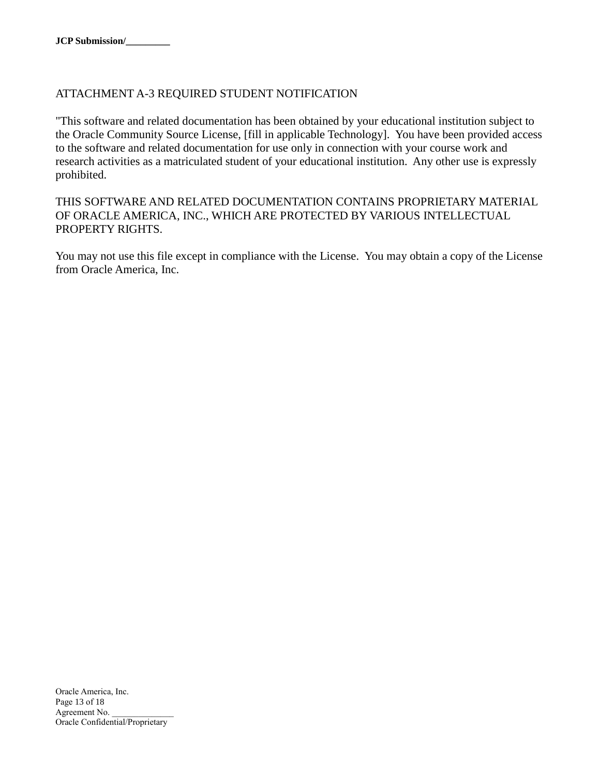## ATTACHMENT A-3 REQUIRED STUDENT NOTIFICATION

"This software and related documentation has been obtained by your educational institution subject to the Oracle Community Source License, [fill in applicable Technology]. You have been provided access to the software and related documentation for use only in connection with your course work and research activities as a matriculated student of your educational institution. Any other use is expressly prohibited.

## THIS SOFTWARE AND RELATED DOCUMENTATION CONTAINS PROPRIETARY MATERIAL OF ORACLE AMERICA, INC., WHICH ARE PROTECTED BY VARIOUS INTELLECTUAL PROPERTY RIGHTS.

You may not use this file except in compliance with the License. You may obtain a copy of the License from Oracle America, Inc.

Oracle America, Inc. Page 13 of 18 Agreement No. Oracle Confidential/Proprietary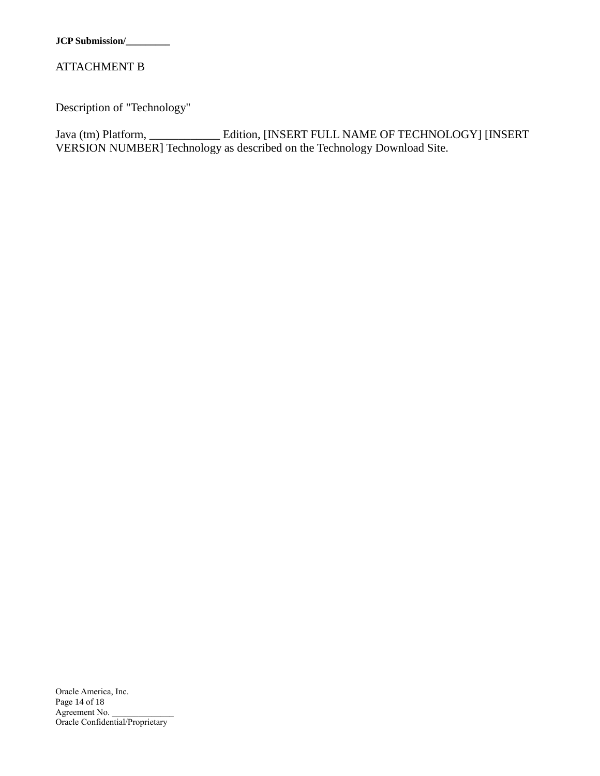## ATTACHMENT B

Description of "Technology"

Java (tm) Platform, \_\_\_\_\_\_\_\_\_\_\_\_ Edition, [INSERT FULL NAME OF TECHNOLOGY] [INSERT VERSION NUMBER] Technology as described on the Technology Download Site.

Oracle America, Inc. Page 14 of 18 Agreement No. \_ Oracle Confidential/Proprietary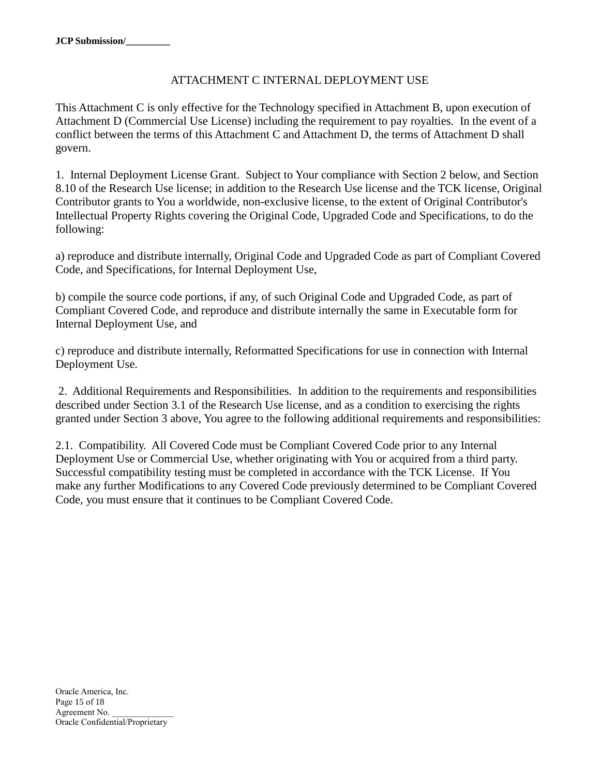## ATTACHMENT C INTERNAL DEPLOYMENT USE

This Attachment C is only effective for the Technology specified in Attachment B, upon execution of Attachment D (Commercial Use License) including the requirement to pay royalties. In the event of a conflict between the terms of this Attachment C and Attachment D, the terms of Attachment D shall govern.

1. Internal Deployment License Grant. Subject to Your compliance with Section 2 below, and Section 8.10 of the Research Use license; in addition to the Research Use license and the TCK license, Original Contributor grants to You a worldwide, non-exclusive license, to the extent of Original Contributor's Intellectual Property Rights covering the Original Code, Upgraded Code and Specifications, to do the following:

a) reproduce and distribute internally, Original Code and Upgraded Code as part of Compliant Covered Code, and Specifications, for Internal Deployment Use,

b) compile the source code portions, if any, of such Original Code and Upgraded Code, as part of Compliant Covered Code, and reproduce and distribute internally the same in Executable form for Internal Deployment Use, and

c) reproduce and distribute internally, Reformatted Specifications for use in connection with Internal Deployment Use.

2. Additional Requirements and Responsibilities. In addition to the requirements and responsibilities described under Section 3.1 of the Research Use license, and as a condition to exercising the rights granted under Section 3 above, You agree to the following additional requirements and responsibilities:

2.1. Compatibility. All Covered Code must be Compliant Covered Code prior to any Internal Deployment Use or Commercial Use, whether originating with You or acquired from a third party. Successful compatibility testing must be completed in accordance with the TCK License. If You make any further Modifications to any Covered Code previously determined to be Compliant Covered Code, you must ensure that it continues to be Compliant Covered Code.

Oracle America, Inc. Page 15 of 18 Agreement No. Oracle Confidential/Proprietary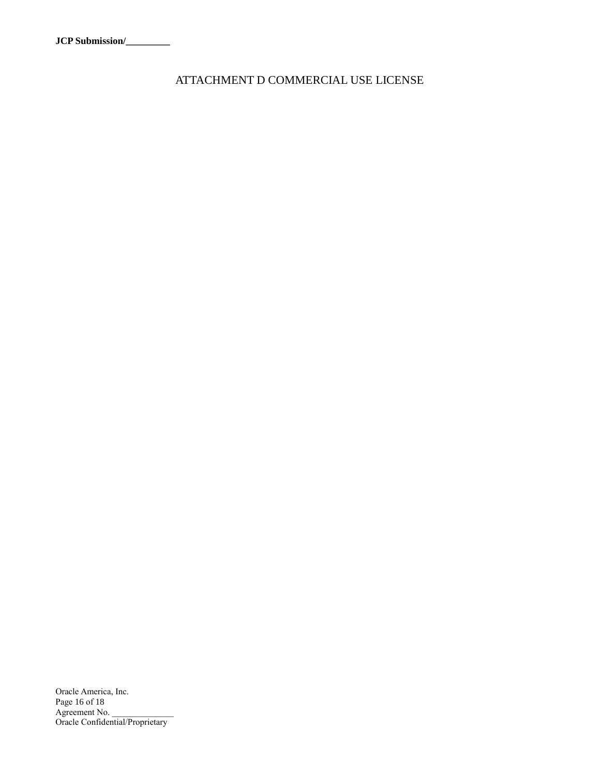ATTACHMENT D COMMERCIAL USE LICENSE

Oracle America, Inc. Page 16 of 18 Agreement No. Oracle Confidential/Proprietary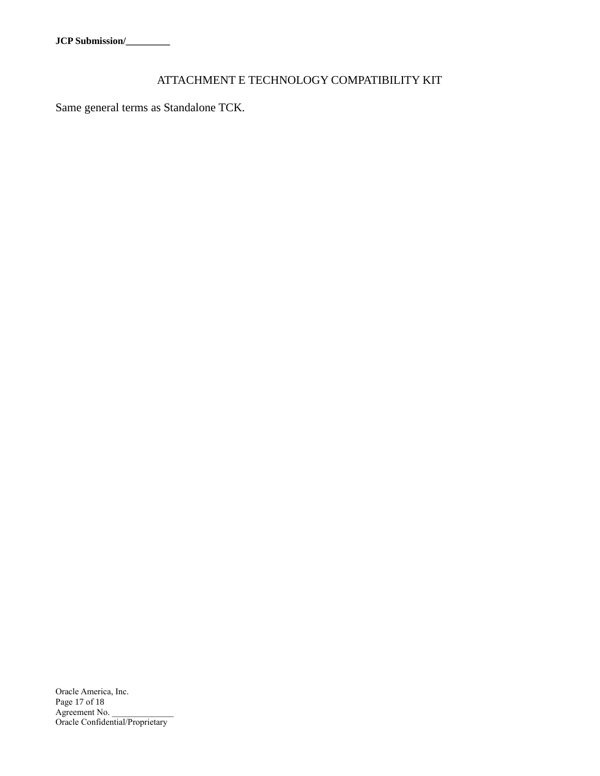# ATTACHMENT E TECHNOLOGY COMPATIBILITY KIT

Same general terms as Standalone TCK.

Oracle America, Inc. Page 17 of 18 Agreement No. Oracle Confidential/Proprietary